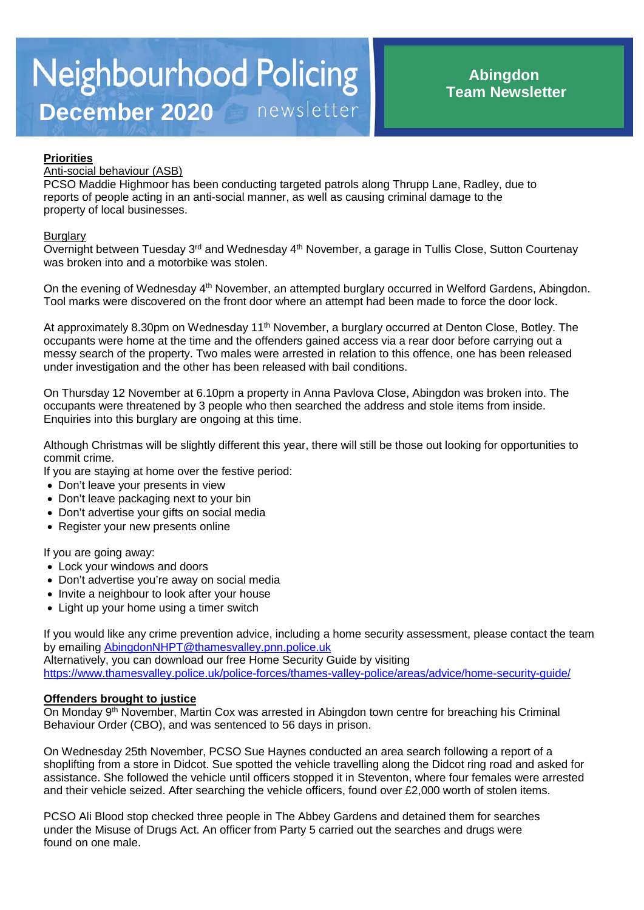# **Priorities**

# Anti-social behaviour (ASB)

PCSO Maddie Highmoor has been conducting targeted patrols along Thrupp Lane, Radley, due to reports of people acting in an anti-social manner, as well as causing criminal damage to the property of local businesses.

## **Burglary**

Overnight between Tuesday 3<sup>rd</sup> and Wednesday 4<sup>th</sup> November, a garage in Tullis Close, Sutton Courtenay was broken into and a motorbike was stolen.

On the evening of Wednesday 4<sup>th</sup> November, an attempted burglary occurred in Welford Gardens, Abingdon. Tool marks were discovered on the front door where an attempt had been made to force the door lock.

At approximately 8.30pm on Wednesday 11<sup>th</sup> November, a burglary occurred at Denton Close, Botley. The occupants were home at the time and the offenders gained access via a rear door before carrying out a messy search of the property. Two males were arrested in relation to this offence, one has been released under investigation and the other has been released with bail conditions.

On Thursday 12 November at 6.10pm a property in Anna Pavlova Close, Abingdon was broken into. The occupants were threatened by 3 people who then searched the address and stole items from inside. Enquiries into this burglary are ongoing at this time.

Although Christmas will be slightly different this year, there will still be those out looking for opportunities to commit crime.

If you are staying at home over the festive period:

- Don't leave your presents in view
- Don't leave packaging next to your bin
- Don't advertise your gifts on social media
- Register your new presents online

If you are going away:

- Lock your windows and doors
- Don't advertise you're away on social media
- Invite a neighbour to look after your house
- Light up your home using a timer switch

If you would like any crime prevention advice, including a home security assessment, please contact the team by emailing [AbingdonNHPT@thamesvalley.pnn.police.uk](mailto:AbingdonNHPT@thamesvalley.pnn.police.uk) Alternatively, you can download our free Home Security Guide by visiting <https://www.thamesvalley.police.uk/police-forces/thames-valley-police/areas/advice/home-security-guide/>

# **Offenders brought to justice**

On Monday 9th November, Martin Cox was arrested in Abingdon town centre for breaching his Criminal Behaviour Order (CBO), and was sentenced to 56 days in prison.

On Wednesday 25th November, PCSO Sue Haynes conducted an area search following a report of a shoplifting from a store in Didcot. Sue spotted the vehicle travelling along the Didcot ring road and asked for assistance. She followed the vehicle until officers stopped it in Steventon, where four females were arrested and their vehicle seized. After searching the vehicle officers, found over £2,000 worth of stolen items.

PCSO Ali Blood stop checked three people in The Abbey Gardens and detained them for searches under the Misuse of Drugs Act. An officer from Party 5 carried out the searches and drugs were found on one male.